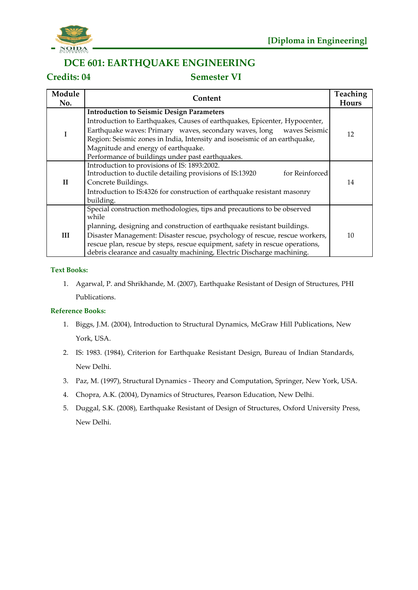

## **DCE 601: EARTHQUAKE ENGINEERING**

## **Credits: 04 Semester VI**

| Module<br>No. | Content                                                                          | <b>Teaching</b><br><b>Hours</b> |
|---------------|----------------------------------------------------------------------------------|---------------------------------|
|               | <b>Introduction to Seismic Design Parameters</b>                                 |                                 |
|               | Introduction to Earthquakes, Causes of earthquakes, Epicenter, Hypocenter,       |                                 |
|               | Earthquake waves: Primary waves, secondary waves, long<br>waves Seismic          | 12                              |
|               | Region: Seismic zones in India, Intensity and isoseismic of an earthquake,       |                                 |
|               | Magnitude and energy of earthquake.                                              |                                 |
|               | Performance of buildings under past earthquakes.                                 |                                 |
|               | Introduction to provisions of IS: 1893:2002.                                     |                                 |
|               | Introduction to ductile detailing provisions of IS:13920<br>for Reinforced       |                                 |
| $\mathbf{I}$  | Concrete Buildings.                                                              | 14                              |
|               | Introduction to IS:4326 for construction of earthquake resistant masonry         |                                 |
|               | building.                                                                        |                                 |
|               | Special construction methodologies, tips and precautions to be observed<br>while |                                 |
|               | planning, designing and construction of earthquake resistant buildings.          |                                 |
| III           | Disaster Management: Disaster rescue, psychology of rescue, rescue workers,      | 10                              |
|               | rescue plan, rescue by steps, rescue equipment, safety in rescue operations,     |                                 |
|               | debris clearance and casualty machining, Electric Discharge machining.           |                                 |

#### **Text Books:**

1. Agarwal, P. and Shrikhande, M. (2007), Earthquake Resistant of Design of Structures, PHI Publications.

- 1. Biggs, J.M. (2004), Introduction to Structural Dynamics, McGraw Hill Publications, New York, USA.
- 2. IS: 1983. (1984), Criterion for Earthquake Resistant Design, Bureau of Indian Standards, New Delhi.
- 3. Paz, M. (1997), Structural Dynamics Theory and Computation, Springer, New York, USA.
- 4. Chopra, A.K. (2004), Dynamics of Structures, Pearson Education, New Delhi.
- 5. Duggal, S.K. (2008), Earthquake Resistant of Design of Structures, Oxford University Press, New Delhi.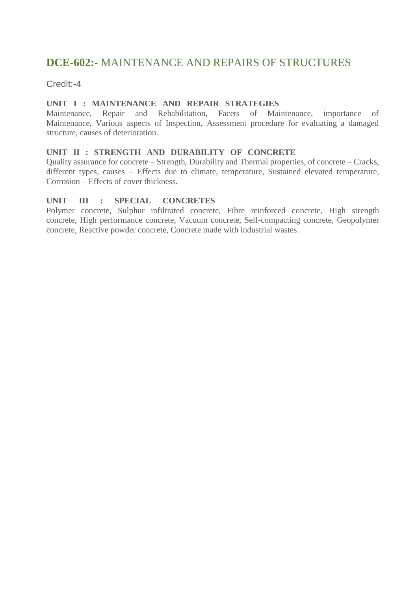# **DCE-602:-** MAINTENANCE AND REPAIRS OF STRUCTURES

Credit:-4

### **UNIT I : MAINTENANCE AND REPAIR STRATEGIES**

Maintenance, Repair and Rehabilitation, Facets of Maintenance, importance of Maintenance, Various aspects of Inspection, Assessment procedure for evaluating a damaged structure, causes of deterioration.

### **UNIT II : STRENGTH AND DURABILITY OF CONCRETE**

Quality assurance for concrete – Strength, Durability and Thermal properties, of concrete – Cracks, different types, causes – Effects due to climate, temperature, Sustained elevated temperature, Corrosion – Effects of cover thickness.

### **UNIT III : SPECIAL CONCRETES**

Polymer concrete, Sulphur infiltrated concrete, Fibre reinforced concrete, High strength concrete, High performance concrete, Vacuum concrete, Self-compacting concrete, Geopolymer concrete, Reactive powder concrete, Concrete made with industrial wastes.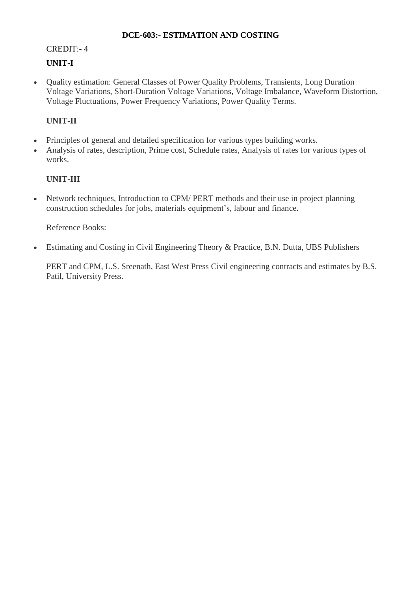### **DCE-603:- ESTIMATION AND COSTING**

## CREDIT:- 4 **UNIT-I**

• Ouality estimation: General Classes of Power Ouality Problems, Transients, Long Duration Voltage Variations, Short-Duration Voltage Variations, Voltage Imbalance, Waveform Distortion, Voltage Fluctuations, Power Frequency Variations, Power Quality Terms.

## **UNIT-II**

- Principles of general and detailed specification for various types building works.
- Analysis of rates, description, Prime cost, Schedule rates, Analysis of rates for various types of works.

## **UNIT-III**

• Network techniques, Introduction to CPM/ PERT methods and their use in project planning construction schedules for jobs, materials equipment's, labour and finance.

Reference Books:

Estimating and Costing in Civil Engineering Theory & Practice, B.N. Dutta, UBS Publishers

PERT and CPM, L.S. Sreenath, East West Press Civil engineering contracts and estimates by B.S. Patil, University Press.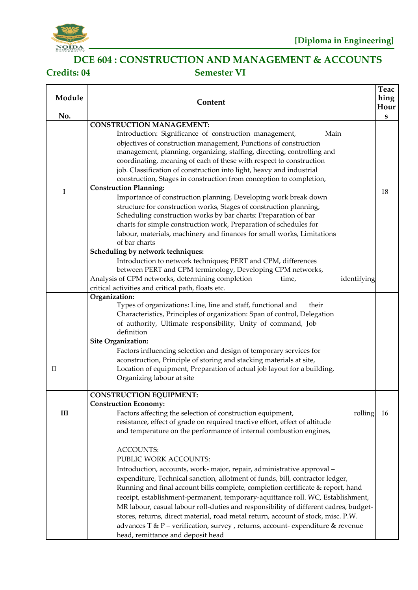

# **DCE 604 : CONSTRUCTION AND MANAGEMENT & ACCOUNTS Credits: 04 Semester VI**

| Module<br>No. | Content                                                                                                                                                                                                                                                                                                                                                                                                                                                                                                                                                                                                                                                                       | Teac<br>hing<br>Hour<br>${\bf S}$ |
|---------------|-------------------------------------------------------------------------------------------------------------------------------------------------------------------------------------------------------------------------------------------------------------------------------------------------------------------------------------------------------------------------------------------------------------------------------------------------------------------------------------------------------------------------------------------------------------------------------------------------------------------------------------------------------------------------------|-----------------------------------|
|               | <b>CONSTRUCTION MANAGEMENT:</b>                                                                                                                                                                                                                                                                                                                                                                                                                                                                                                                                                                                                                                               |                                   |
|               | Introduction: Significance of construction management,<br>Main<br>objectives of construction management, Functions of construction<br>management, planning, organizing, staffing, directing, controlling and<br>coordinating, meaning of each of these with respect to construction<br>job. Classification of construction into light, heavy and industrial<br>construction, Stages in construction from conception to completion,                                                                                                                                                                                                                                            |                                   |
| $\bf{I}$      | <b>Construction Planning:</b><br>Importance of construction planning, Developing work break down<br>structure for construction works, Stages of construction planning,<br>Scheduling construction works by bar charts: Preparation of bar<br>charts for simple construction work, Preparation of schedules for<br>labour, materials, machinery and finances for small works, Limitations<br>of bar charts                                                                                                                                                                                                                                                                     | 18                                |
|               | Scheduling by network techniques:                                                                                                                                                                                                                                                                                                                                                                                                                                                                                                                                                                                                                                             |                                   |
|               | Introduction to network techniques; PERT and CPM, differences<br>between PERT and CPM terminology, Developing CPM networks,                                                                                                                                                                                                                                                                                                                                                                                                                                                                                                                                                   |                                   |
|               | Analysis of CPM networks, determining completion<br>identifying<br>time,                                                                                                                                                                                                                                                                                                                                                                                                                                                                                                                                                                                                      |                                   |
|               | critical activities and critical path, floats etc.<br>Organization:                                                                                                                                                                                                                                                                                                                                                                                                                                                                                                                                                                                                           |                                   |
| $\rm II$      | Types of organizations: Line, line and staff, functional and<br>their<br>Characteristics, Principles of organization: Span of control, Delegation<br>of authority, Ultimate responsibility, Unity of command, Job<br>definition<br><b>Site Organization:</b><br>Factors influencing selection and design of temporary services for<br>aconstruction, Principle of storing and stacking materials at site,<br>Location of equipment, Preparation of actual job layout for a building,                                                                                                                                                                                          |                                   |
|               | Organizing labour at site                                                                                                                                                                                                                                                                                                                                                                                                                                                                                                                                                                                                                                                     |                                   |
| III           | <b>CONSTRUCTION EQUIPMENT:</b><br><b>Construction Economy:</b><br>Factors affecting the selection of construction equipment,<br>rolling<br>resistance, effect of grade on required tractive effort, effect of altitude<br>and temperature on the performance of internal combustion engines,                                                                                                                                                                                                                                                                                                                                                                                  | 16                                |
|               | <b>ACCOUNTS:</b><br>PUBLIC WORK ACCOUNTS:<br>Introduction, accounts, work- major, repair, administrative approval -<br>expenditure, Technical sanction, allotment of funds, bill, contractor ledger,<br>Running and final account bills complete, completion certificate & report, hand<br>receipt, establishment-permanent, temporary-aquittance roll. WC, Establishment,<br>MR labour, casual labour roll-duties and responsibility of different cadres, budget-<br>stores, returns, direct material, road metal return, account of stock, misc. P.W.<br>advances T & P - verification, survey, returns, account-expenditure & revenue<br>head, remittance and deposit head |                                   |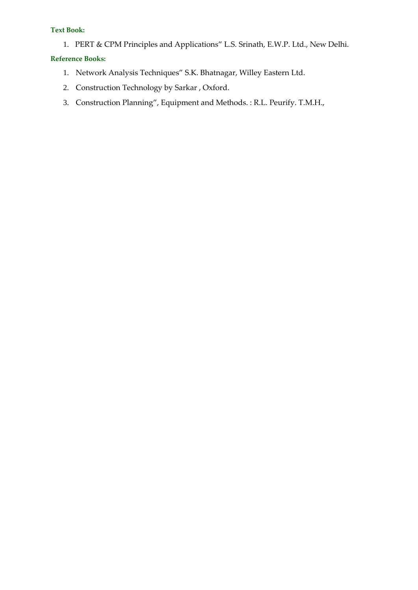#### **Text Book:**

1. PERT & CPM Principles and Applications" L.S. Srinath, E.W.P. Ltd., New Delhi.

- 1. Network Analysis Techniques" S.K. Bhatnagar, Willey Eastern Ltd.
- 2. Construction Technology by Sarkar , Oxford.
- 3. Construction Planning", Equipment and Methods. : R.L. Peurify. T.M.H.,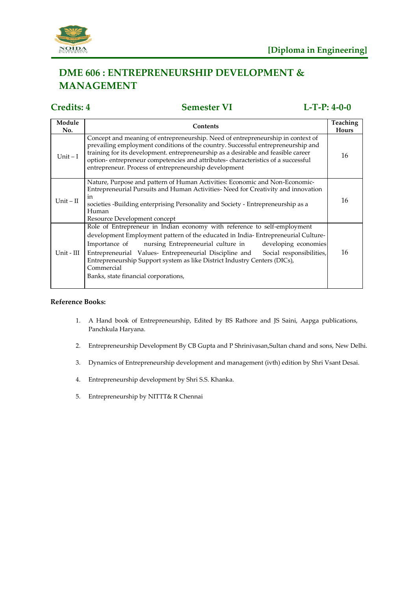

# **DME 606 : ENTREPRENEURSHIP DEVELOPMENT & MANAGEMENT**

# **Credits: 4 Semester VI L-T-P: 4-0-0**

| Module<br>No. | Contents                                                                                                                                                                                                                                                                                                                                                                                                                                                             | Teaching<br>Hours |
|---------------|----------------------------------------------------------------------------------------------------------------------------------------------------------------------------------------------------------------------------------------------------------------------------------------------------------------------------------------------------------------------------------------------------------------------------------------------------------------------|-------------------|
| Unit $-I$     | Concept and meaning of entrepreneurship. Need of entrepreneurship in context of<br>prevailing employment conditions of the country. Successful entrepreneurship and<br>training for its development. entrepreneurship as a desirable and feasible career<br>option-entrepreneur competencies and attributes-characteristics of a successful<br>entrepreneur. Process of entrepreneurship development                                                                 | 16                |
| Unit $-II$    | Nature, Purpose and pattern of Human Activities: Economic and Non-Economic-<br>Entrepreneurial Pursuits and Human Activities-Need for Creativity and innovation<br>in<br>societies -Building enterprising Personality and Society - Entrepreneurship as a<br>Human<br>Resource Development concept                                                                                                                                                                   | 16                |
| Unit - III    | Role of Entrepreneur in Indian economy with reference to self-employment<br>development Employment pattern of the educated in India-Entrepreneurial Culture-<br>nursing Entrepreneurial culture in<br>developing economies<br>Importance of<br>Entrepreneurial Values- Entrepreneurial Discipline and<br>Social responsibilities,<br>Entrepreneurship Support system as like District Industry Centers (DICs),<br>Commercial<br>Banks, state financial corporations, | 16                |

- 1. A Hand book of Entrepreneurship, Edited by BS Rathore and JS Saini, Aapga publications, Panchkula Haryana.
- 2. Entrepreneurship Development By CB Gupta and P Shrinivasan,Sultan chand and sons, New Delhi.
- 3. Dynamics of Entrepreneurship development and management (ivth) edition by Shri Vsant Desai.
- 4. Entrepreneurship development by Shri S.S. Khanka.
- 5. Entrepreneurship by NITTT& R Chennai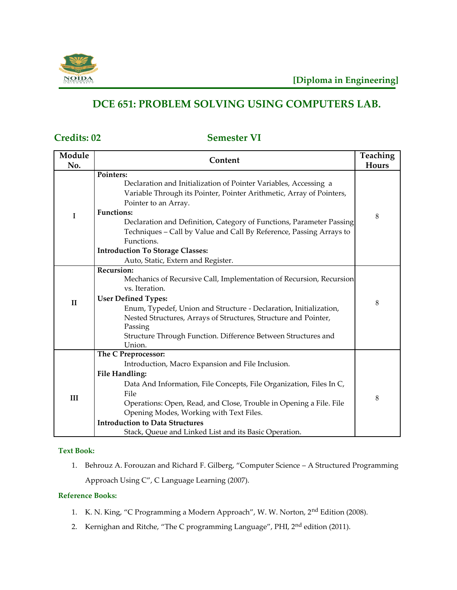

# **DCE 651: PROBLEM SOLVING USING COMPUTERS LAB.**

## **Credits: 02 Semester VI**

| Module       | Content                                                                                                                                                                                                                                                                    | Teaching |
|--------------|----------------------------------------------------------------------------------------------------------------------------------------------------------------------------------------------------------------------------------------------------------------------------|----------|
| No.          |                                                                                                                                                                                                                                                                            | Hours    |
| I            | Pointers:<br>Declaration and Initialization of Pointer Variables, Accessing a<br>Variable Through its Pointer, Pointer Arithmetic, Array of Pointers,<br>Pointer to an Array.<br><b>Functions:</b><br>Declaration and Definition, Category of Functions, Parameter Passing | 8        |
|              | Techniques - Call by Value and Call By Reference, Passing Arrays to<br>Functions.                                                                                                                                                                                          |          |
|              | <b>Introduction To Storage Classes:</b><br>Auto, Static, Extern and Register.                                                                                                                                                                                              |          |
|              | Recursion:                                                                                                                                                                                                                                                                 |          |
| $\mathbf{I}$ | Mechanics of Recursive Call, Implementation of Recursion, Recursion                                                                                                                                                                                                        |          |
|              | vs. Iteration.                                                                                                                                                                                                                                                             |          |
|              | <b>User Defined Types:</b>                                                                                                                                                                                                                                                 | 8        |
|              | Enum, Typedef, Union and Structure - Declaration, Initialization,                                                                                                                                                                                                          |          |
|              | Nested Structures, Arrays of Structures, Structure and Pointer,                                                                                                                                                                                                            |          |
|              | Passing                                                                                                                                                                                                                                                                    |          |
|              | Structure Through Function. Difference Between Structures and<br>Union.                                                                                                                                                                                                    |          |
|              | The C Preprocessor:                                                                                                                                                                                                                                                        |          |
| III          | Introduction, Macro Expansion and File Inclusion.                                                                                                                                                                                                                          |          |
|              | <b>File Handling:</b>                                                                                                                                                                                                                                                      |          |
|              | Data And Information, File Concepts, File Organization, Files In C,                                                                                                                                                                                                        |          |
|              | File                                                                                                                                                                                                                                                                       |          |
|              | Operations: Open, Read, and Close, Trouble in Opening a File. File                                                                                                                                                                                                         | 8        |
|              | Opening Modes, Working with Text Files.                                                                                                                                                                                                                                    |          |
|              | <b>Introduction to Data Structures</b>                                                                                                                                                                                                                                     |          |
|              | Stack, Queue and Linked List and its Basic Operation.                                                                                                                                                                                                                      |          |

#### **Text Book:**

1. Behrouz A. Forouzan and Richard F. Gilberg, "Computer Science – A Structured Programming Approach Using C", C Language Learning (2007).

- 1. K. N. King, "C Programming a Modern Approach", W. W. Norton, 2nd Edition (2008).
- 2. Kernighan and Ritche, "The C programming Language", PHI, 2<sup>nd</sup> edition (2011).